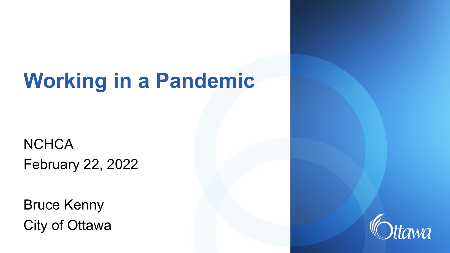# **Working in a Pandemic**

**NCHCA** February 22, 2022

Bruce Kenny City of Ottawa

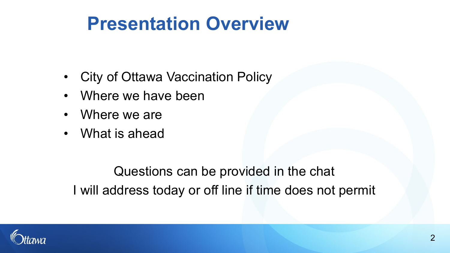## **Presentation Overview**

- City of Ottawa Vaccination Policy
- Where we have been
- Where we are
- What is ahead

Questions can be provided in the chat I will address today or off line if time does not permit

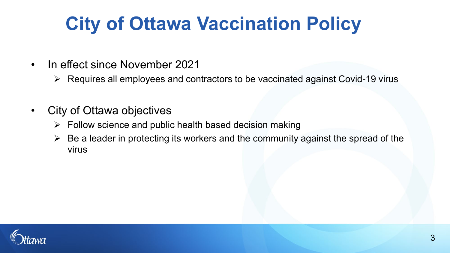# **City of Ottawa Vaccination Policy**

- In effect since November 2021
	- $\triangleright$  Requires all employees and contractors to be vaccinated against Covid-19 virus
- City of Ottawa objectives
	- $\triangleright$  Follow science and public health based decision making
	- $\triangleright$  Be a leader in protecting its workers and the community against the spread of the virus

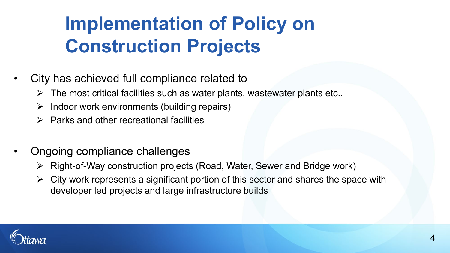## **Implementation of Policy on Construction Projects**

- City has achieved full compliance related to
	- $\triangleright$  The most critical facilities such as water plants, wastewater plants etc..
	- $\triangleright$  Indoor work environments (building repairs)
	- $\triangleright$  Parks and other recreational facilities
- Ongoing compliance challenges
	- Right-of-Way construction projects (Road, Water, Sewer and Bridge work)
	- $\triangleright$  City work represents a significant portion of this sector and shares the space with developer led projects and large infrastructure builds

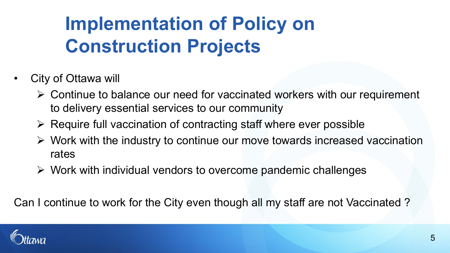# **Implementation of Policy on Construction Projects**

- City of Ottawa will
	- $\triangleright$  Continue to balance our need for vaccinated workers with our requirement to delivery essential services to our community
	- $\triangleright$  Require full vaccination of contracting staff where ever possible
	- $\triangleright$  Work with the industry to continue our move towards increased vaccination rates
	- $\triangleright$  Work with individual vendors to overcome pandemic challenges

Can I continue to work for the City even though all my staff are not Vaccinated ?

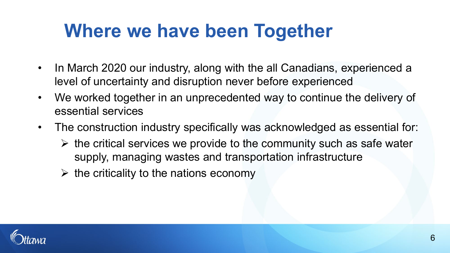## **Where we have been Together**

- In March 2020 our industry, along with the all Canadians, experienced a level of uncertainty and disruption never before experienced
- We worked together in an unprecedented way to continue the delivery of essential services
- The construction industry specifically was acknowledged as essential for:
	- $\triangleright$  the critical services we provide to the community such as safe water supply, managing wastes and transportation infrastructure
	- $\triangleright$  the criticality to the nations economy

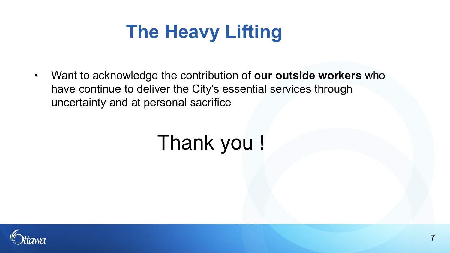# **The Heavy Lifting**

• Want to acknowledge the contribution of **our outside workers** who have continue to deliver the City's essential services through uncertainty and at personal sacrifice

# Thank you !

7

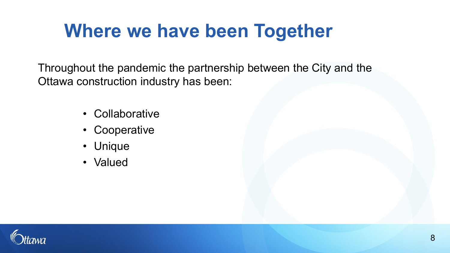## **Where we have been Together**

Throughout the pandemic the partnership between the City and the Ottawa construction industry has been:

- Collaborative
- Cooperative
- Unique
- Valued

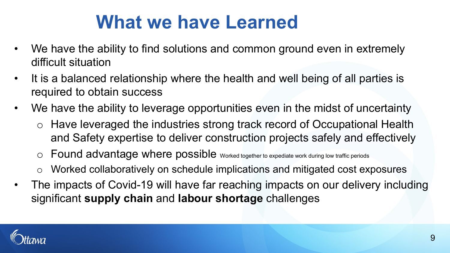## **What we have Learned**

- We have the ability to find solutions and common ground even in extremely difficult situation
- It is a balanced relationship where the health and well being of all parties is required to obtain success
- We have the ability to leverage opportunities even in the midst of uncertainty
	- o Have leveraged the industries strong track record of Occupational Health and Safety expertise to deliver construction projects safely and effectively
	- o Found advantage where possible Worked together to expediate work during low traffic periods
	- o Worked collaboratively on schedule implications and mitigated cost exposures
- The impacts of Covid-19 will have far reaching impacts on our delivery including significant **supply chain** and **labour shortage** challenges

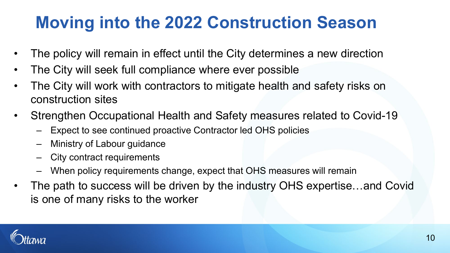#### **Moving into the 2022 Construction Season**

- The policy will remain in effect until the City determines a new direction
- The City will seek full compliance where ever possible
- The City will work with contractors to mitigate health and safety risks on construction sites
- Strengthen Occupational Health and Safety measures related to Covid-19
	- Expect to see continued proactive Contractor led OHS policies
	- Ministry of Labour guidance
	- City contract requirements
	- When policy requirements change, expect that OHS measures will remain
- The path to success will be driven by the industry OHS expertise...and Covid is one of many risks to the worker